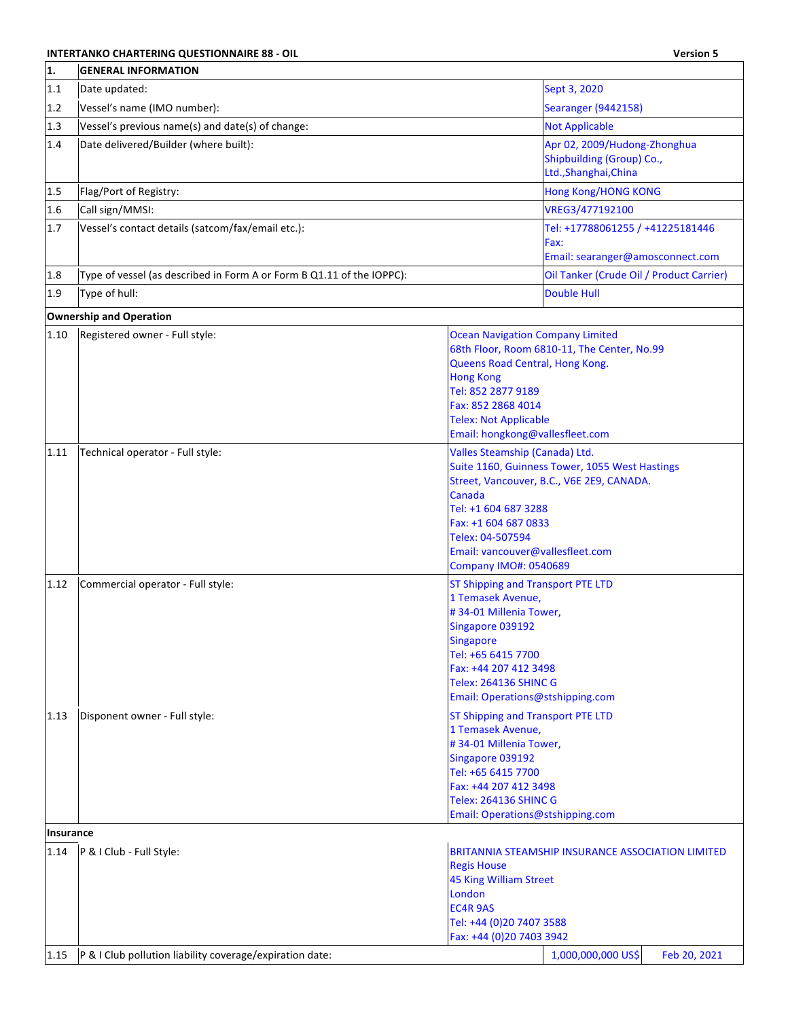## **INTERTANKO CHARTERING QUESTIONNAIRE 88 - OIL Version 5**

| 1.        | <b>GENERAL INFORMATION</b>                                            |                                                                                                                                                                                                                                                                                        |  |  |  |
|-----------|-----------------------------------------------------------------------|----------------------------------------------------------------------------------------------------------------------------------------------------------------------------------------------------------------------------------------------------------------------------------------|--|--|--|
| 1.1       | Date updated:                                                         | Sept 3, 2020                                                                                                                                                                                                                                                                           |  |  |  |
| 1.2       | Vessel's name (IMO number):                                           | <b>Searanger (9442158)</b>                                                                                                                                                                                                                                                             |  |  |  |
| 1.3       | Vessel's previous name(s) and date(s) of change:                      | <b>Not Applicable</b>                                                                                                                                                                                                                                                                  |  |  |  |
| 1.4       | Date delivered/Builder (where built):                                 | Apr 02, 2009/Hudong-Zhonghua<br>Shipbuilding (Group) Co.,<br>Ltd., Shanghai, China                                                                                                                                                                                                     |  |  |  |
| 1.5       | Flag/Port of Registry:                                                | <b>Hong Kong/HONG KONG</b>                                                                                                                                                                                                                                                             |  |  |  |
| 1.6       | Call sign/MMSI:                                                       | VREG3/477192100                                                                                                                                                                                                                                                                        |  |  |  |
| 1.7       | Vessel's contact details (satcom/fax/email etc.):                     | Tel: +17788061255 / +41225181446<br>Fax:<br>Email: searanger@amosconnect.com                                                                                                                                                                                                           |  |  |  |
| 1.8       | Type of vessel (as described in Form A or Form B Q1.11 of the IOPPC): | Oil Tanker (Crude Oil / Product Carrier)                                                                                                                                                                                                                                               |  |  |  |
| 1.9       | Type of hull:                                                         | <b>Double Hull</b>                                                                                                                                                                                                                                                                     |  |  |  |
|           | <b>Ownership and Operation</b>                                        |                                                                                                                                                                                                                                                                                        |  |  |  |
| $1.10\,$  | Registered owner - Full style:                                        | <b>Ocean Navigation Company Limited</b><br>68th Floor, Room 6810-11, The Center, No.99<br>Queens Road Central, Hong Kong.<br><b>Hong Kong</b><br>Tel: 852 2877 9189<br>Fax: 852 2868 4014<br><b>Telex: Not Applicable</b><br>Email: hongkong@vallesfleet.com                           |  |  |  |
| 1.11      | Technical operator - Full style:                                      | Valles Steamship (Canada) Ltd.<br>Suite 1160, Guinness Tower, 1055 West Hastings<br>Street, Vancouver, B.C., V6E 2E9, CANADA.<br><b>Canada</b><br>Tel: +1 604 687 3288<br>Fax: +1 604 687 0833<br>Telex: 04-507594<br>Email: vancouver@vallesfleet.com<br><b>Company IMO#: 0540689</b> |  |  |  |
| 1.12      | Commercial operator - Full style:                                     | <b>ST Shipping and Transport PTE LTD</b><br>1 Temasek Avenue,<br>#34-01 Millenia Tower,<br>Singapore 039192<br><b>Singapore</b><br>Tel: +65 6415 7700<br>Fax: +44 207 412 3498<br><b>Telex: 264136 SHINC G</b><br>Email: Operations@stshipping.com                                     |  |  |  |
| 1.13      | Disponent owner - Full style:                                         | <b>ST Shipping and Transport PTE LTD</b><br>1 Temasek Avenue,<br>#34-01 Millenia Tower,<br>Singapore 039192<br>Tel: +65 6415 7700<br>Fax: +44 207 412 3498<br><b>Telex: 264136 SHINC G</b><br>Email: Operations@stshipping.com                                                         |  |  |  |
| Insurance |                                                                       |                                                                                                                                                                                                                                                                                        |  |  |  |
| 1.14      | P & I Club - Full Style:                                              | BRITANNIA STEAMSHIP INSURANCE ASSOCIATION LIMITED<br><b>Regis House</b><br><b>45 King William Street</b><br>London<br><b>EC4R 9AS</b><br>Tel: +44 (0)20 7407 3588<br>Fax: +44 (0)20 7403 3942                                                                                          |  |  |  |
| 1.15      | P & I Club pollution liability coverage/expiration date:              | 1,000,000,000 US\$<br>Feb 20, 2021                                                                                                                                                                                                                                                     |  |  |  |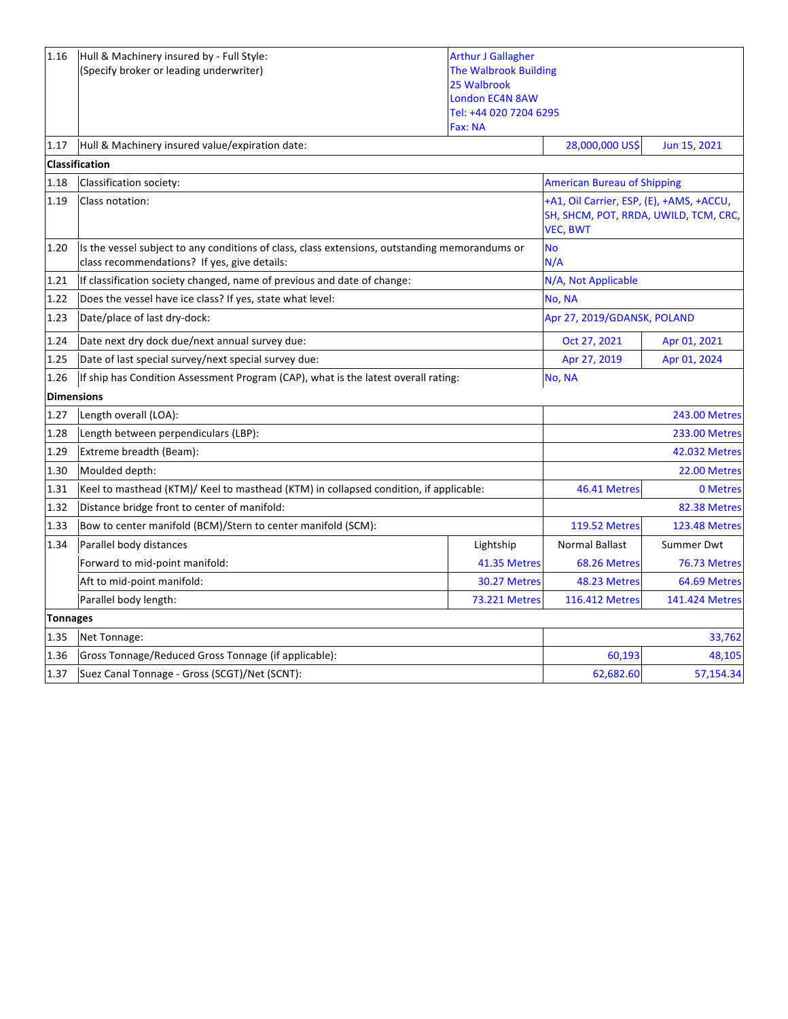| 1.16              | Hull & Machinery insured by - Full Style:<br>(Specify broker or leading underwriter)                                                           | <b>Arthur J Gallagher</b><br><b>The Walbrook Building</b><br>25 Walbrook<br><b>London EC4N 8AW</b><br>Tel: +44 020 7204 6295<br>Fax: NA |                                                                                                      |                      |
|-------------------|------------------------------------------------------------------------------------------------------------------------------------------------|-----------------------------------------------------------------------------------------------------------------------------------------|------------------------------------------------------------------------------------------------------|----------------------|
| 1.17              | Hull & Machinery insured value/expiration date:                                                                                                |                                                                                                                                         | 28,000,000 US\$                                                                                      | Jun 15, 2021         |
|                   | <b>Classification</b>                                                                                                                          |                                                                                                                                         |                                                                                                      |                      |
| 1.18              | Classification society:                                                                                                                        |                                                                                                                                         | <b>American Bureau of Shipping</b>                                                                   |                      |
| 1.19              | Class notation:                                                                                                                                |                                                                                                                                         | +A1, Oil Carrier, ESP, (E), +AMS, +ACCU,<br>SH, SHCM, POT, RRDA, UWILD, TCM, CRC,<br><b>VEC, BWT</b> |                      |
| 1.20              | Is the vessel subject to any conditions of class, class extensions, outstanding memorandums or<br>class recommendations? If yes, give details: |                                                                                                                                         | <b>No</b><br>N/A                                                                                     |                      |
| 1.21              | If classification society changed, name of previous and date of change:                                                                        |                                                                                                                                         | N/A, Not Applicable                                                                                  |                      |
| 1.22              | Does the vessel have ice class? If yes, state what level:                                                                                      |                                                                                                                                         | No, NA                                                                                               |                      |
| 1.23              | Date/place of last dry-dock:                                                                                                                   |                                                                                                                                         | Apr 27, 2019/GDANSK, POLAND                                                                          |                      |
| 1.24              | Date next dry dock due/next annual survey due:                                                                                                 |                                                                                                                                         | Oct 27, 2021                                                                                         | Apr 01, 2021         |
| 1.25              | Date of last special survey/next special survey due:                                                                                           |                                                                                                                                         | Apr 27, 2019                                                                                         | Apr 01, 2024         |
| 1.26              | If ship has Condition Assessment Program (CAP), what is the latest overall rating:                                                             |                                                                                                                                         | No, NA                                                                                               |                      |
| <b>Dimensions</b> |                                                                                                                                                |                                                                                                                                         |                                                                                                      |                      |
| 1.27              | Length overall (LOA):                                                                                                                          |                                                                                                                                         |                                                                                                      | <b>243.00 Metres</b> |
| 1.28              | Length between perpendiculars (LBP):                                                                                                           |                                                                                                                                         | <b>233.00 Metres</b>                                                                                 |                      |
| 1.29              | Extreme breadth (Beam):                                                                                                                        |                                                                                                                                         |                                                                                                      | 42.032 Metres        |
| 1.30              | Moulded depth:                                                                                                                                 |                                                                                                                                         |                                                                                                      | 22.00 Metres         |
| 1.31              | Keel to masthead (KTM)/ Keel to masthead (KTM) in collapsed condition, if applicable:                                                          |                                                                                                                                         | 46.41 Metres                                                                                         | 0 Metres             |
| 1.32              | Distance bridge front to center of manifold:                                                                                                   |                                                                                                                                         |                                                                                                      | 82.38 Metres         |
| 1.33              | Bow to center manifold (BCM)/Stern to center manifold (SCM):                                                                                   |                                                                                                                                         | <b>119.52 Metres</b>                                                                                 | <b>123.48 Metres</b> |
| 1.34              | Parallel body distances                                                                                                                        | Lightship                                                                                                                               | <b>Normal Ballast</b>                                                                                | Summer Dwt           |
|                   | Forward to mid-point manifold:                                                                                                                 | 41.35 Metres                                                                                                                            | 68.26 Metres                                                                                         | 76.73 Metres         |
|                   | Aft to mid-point manifold:                                                                                                                     | 30.27 Metres                                                                                                                            | 48.23 Metres                                                                                         | 64.69 Metres         |
|                   | Parallel body length:                                                                                                                          | <b>73.221 Metres</b>                                                                                                                    | 116.412 Metres                                                                                       | 141.424 Metres       |
| <b>Tonnages</b>   |                                                                                                                                                |                                                                                                                                         |                                                                                                      |                      |
| 1.35              | Net Tonnage:                                                                                                                                   |                                                                                                                                         |                                                                                                      | 33,762               |
| 1.36              | Gross Tonnage/Reduced Gross Tonnage (if applicable):                                                                                           |                                                                                                                                         | 60,193                                                                                               | 48,105               |
| 1.37              | Suez Canal Tonnage - Gross (SCGT)/Net (SCNT):                                                                                                  | 62,682.60                                                                                                                               | 57,154.34                                                                                            |                      |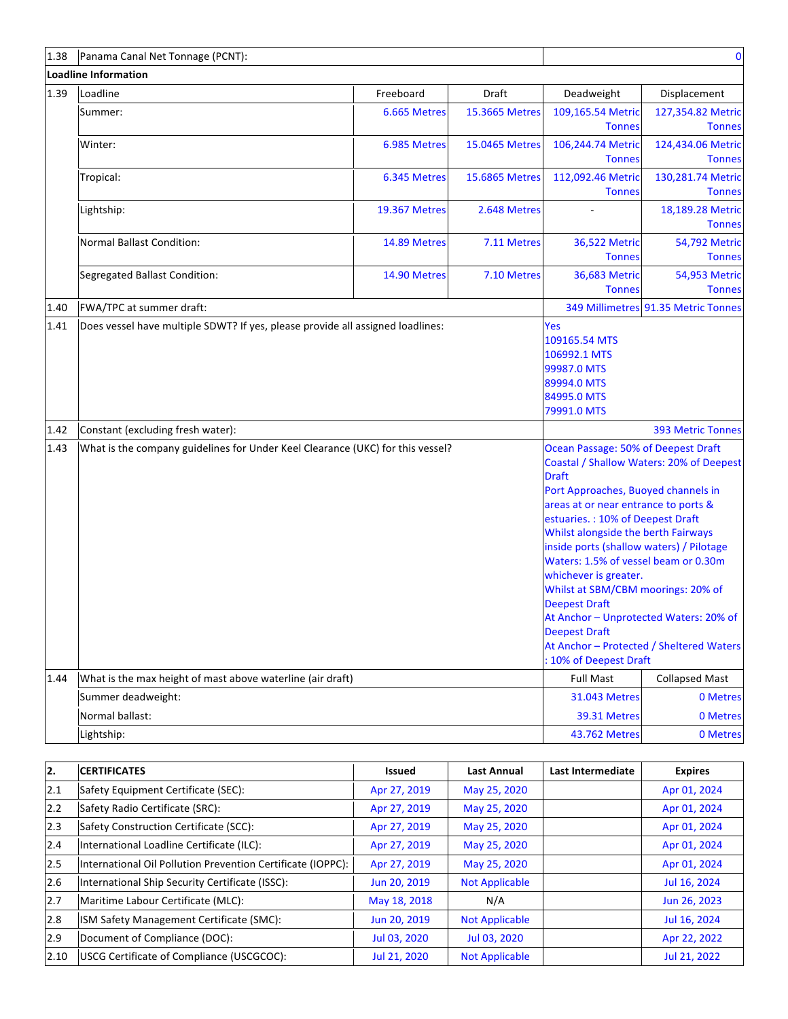| 1.38 | Panama Canal Net Tonnage (PCNT):                                               |                      |                |                                                                                                                                                                                                                                                                                                                                                                                                                                                                                      | $\bf{0}$                                                                             |
|------|--------------------------------------------------------------------------------|----------------------|----------------|--------------------------------------------------------------------------------------------------------------------------------------------------------------------------------------------------------------------------------------------------------------------------------------------------------------------------------------------------------------------------------------------------------------------------------------------------------------------------------------|--------------------------------------------------------------------------------------|
|      | <b>Loadline Information</b>                                                    |                      |                |                                                                                                                                                                                                                                                                                                                                                                                                                                                                                      |                                                                                      |
| 1.39 | Loadline                                                                       | Freeboard            | Draft          | Deadweight                                                                                                                                                                                                                                                                                                                                                                                                                                                                           | Displacement                                                                         |
|      | Summer:                                                                        | 6.665 Metres         | 15.3665 Metres | 109,165.54 Metric<br><b>Tonnes</b>                                                                                                                                                                                                                                                                                                                                                                                                                                                   | 127,354.82 Metric<br><b>Tonnes</b>                                                   |
|      | Winter:                                                                        | 6.985 Metres         | 15.0465 Metres | 106,244.74 Metric<br><b>Tonnes</b>                                                                                                                                                                                                                                                                                                                                                                                                                                                   | 124,434.06 Metric<br><b>Tonnes</b>                                                   |
|      | Tropical:                                                                      | 6.345 Metres         | 15.6865 Metres | 112,092.46 Metric<br><b>Tonnes</b>                                                                                                                                                                                                                                                                                                                                                                                                                                                   | 130,281.74 Metric<br><b>Tonnes</b>                                                   |
|      | Lightship:                                                                     | <b>19.367 Metres</b> | 2.648 Metres   |                                                                                                                                                                                                                                                                                                                                                                                                                                                                                      | 18,189.28 Metric<br><b>Tonnes</b>                                                    |
|      | Normal Ballast Condition:                                                      | 14.89 Metres         | 7.11 Metres    | <b>36,522 Metric</b><br><b>Tonnes</b>                                                                                                                                                                                                                                                                                                                                                                                                                                                | 54,792 Metric<br><b>Tonnes</b>                                                       |
|      | Segregated Ballast Condition:                                                  | 14.90 Metres         | 7.10 Metres    | 36,683 Metric<br><b>Tonnes</b>                                                                                                                                                                                                                                                                                                                                                                                                                                                       | 54,953 Metric<br><b>Tonnes</b>                                                       |
| 1.40 | FWA/TPC at summer draft:                                                       |                      |                |                                                                                                                                                                                                                                                                                                                                                                                                                                                                                      | 349 Millimetres 91.35 Metric Tonnes                                                  |
| 1.41 | Does vessel have multiple SDWT? If yes, please provide all assigned loadlines: |                      |                | Yes<br>109165.54 MTS<br>106992.1 MTS<br>99987.0 MTS<br>89994.0 MTS<br>84995.0 MTS<br>79991.0 MTS                                                                                                                                                                                                                                                                                                                                                                                     |                                                                                      |
| 1.42 | Constant (excluding fresh water):                                              |                      |                |                                                                                                                                                                                                                                                                                                                                                                                                                                                                                      | <b>393 Metric Tonnes</b>                                                             |
| 1.43 | What is the company guidelines for Under Keel Clearance (UKC) for this vessel? |                      |                | Ocean Passage: 50% of Deepest Draft<br><b>Draft</b><br>Port Approaches, Buoyed channels in<br>areas at or near entrance to ports &<br>estuaries.: 10% of Deepest Draft<br>Whilst alongside the berth Fairways<br>inside ports (shallow waters) / Pilotage<br>Waters: 1.5% of vessel beam or 0.30m<br>whichever is greater.<br>Whilst at SBM/CBM moorings: 20% of<br><b>Deepest Draft</b><br>At Anchor - Unprotected Waters: 20% of<br><b>Deepest Draft</b><br>: 10% of Deepest Draft | Coastal / Shallow Waters: 20% of Deepest<br>At Anchor - Protected / Sheltered Waters |
| 1.44 | What is the max height of mast above waterline (air draft)                     |                      |                | <b>Full Mast</b>                                                                                                                                                                                                                                                                                                                                                                                                                                                                     | <b>Collapsed Mast</b>                                                                |
|      | Summer deadweight:                                                             |                      |                | <b>31.043 Metres</b>                                                                                                                                                                                                                                                                                                                                                                                                                                                                 | 0 Metres                                                                             |
|      | Normal ballast:                                                                |                      |                | 39.31 Metres                                                                                                                                                                                                                                                                                                                                                                                                                                                                         | 0 Metres                                                                             |
|      | Lightship:                                                                     |                      |                | 43.762 Metres                                                                                                                                                                                                                                                                                                                                                                                                                                                                        | 0 Metres                                                                             |

| I2.           | <b>CERTIFICATES</b>                                         | Issued       | <b>Last Annual</b>    | Last Intermediate | <b>Expires</b> |
|---------------|-------------------------------------------------------------|--------------|-----------------------|-------------------|----------------|
| 12.1          | Safety Equipment Certificate (SEC):                         | Apr 27, 2019 | May 25, 2020          |                   | Apr 01, 2024   |
| 2.2           | Safety Radio Certificate (SRC):                             | Apr 27, 2019 | May 25, 2020          |                   | Apr 01, 2024   |
| $ 2.3\rangle$ | Safety Construction Certificate (SCC):                      | Apr 27, 2019 | May 25, 2020          |                   | Apr 01, 2024   |
| 2.4           | International Loadline Certificate (ILC):                   | Apr 27, 2019 | May 25, 2020          |                   | Apr 01, 2024   |
| 2.5           | International Oil Pollution Prevention Certificate (IOPPC): | Apr 27, 2019 | May 25, 2020          |                   | Apr 01, 2024   |
| 2.6           | International Ship Security Certificate (ISSC):             | Jun 20, 2019 | <b>Not Applicable</b> |                   | Jul 16, 2024   |
| 2.7           | Maritime Labour Certificate (MLC):                          | May 18, 2018 | N/A                   |                   | Jun 26, 2023   |
| 2.8           | ISM Safety Management Certificate (SMC):                    | Jun 20, 2019 | <b>Not Applicable</b> |                   | Jul 16, 2024   |
| 2.9           | Document of Compliance (DOC):                               | Jul 03, 2020 | Jul 03, 2020          |                   | Apr 22, 2022   |
| 2.10          | USCG Certificate of Compliance (USCGCOC):                   | Jul 21, 2020 | <b>Not Applicable</b> |                   | Jul 21, 2022   |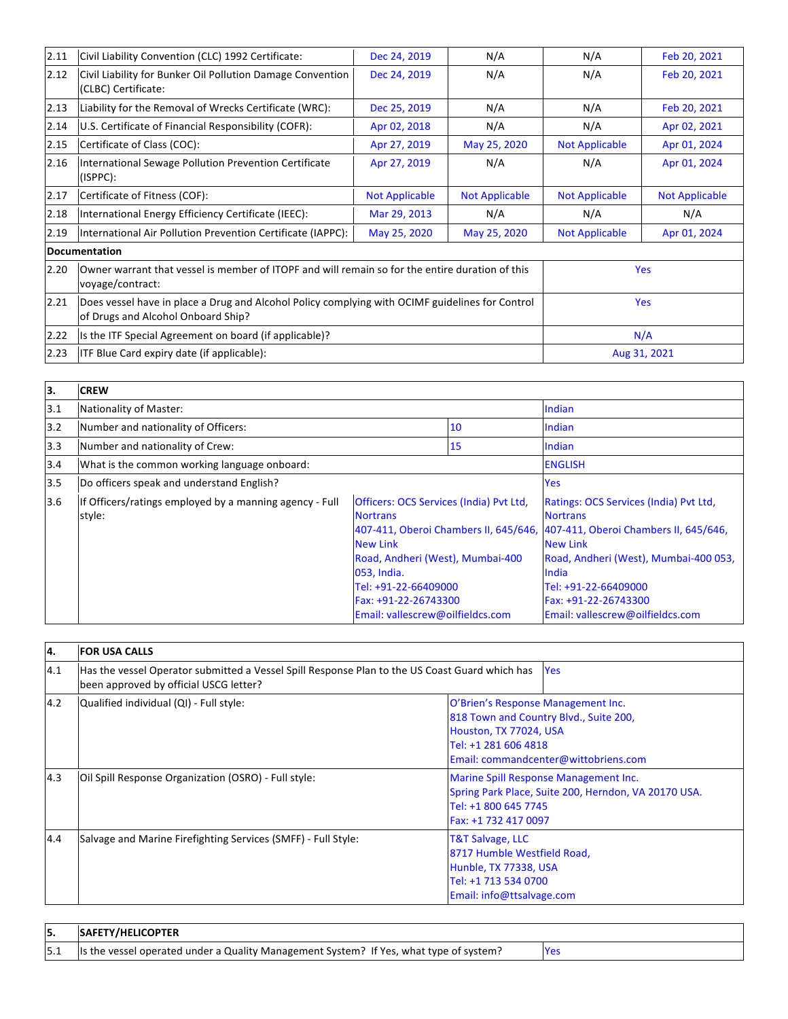| 2.11 | Civil Liability Convention (CLC) 1992 Certificate:                                                                                    | Dec 24, 2019          | N/A                   | N/A                   | Feb 20, 2021          |
|------|---------------------------------------------------------------------------------------------------------------------------------------|-----------------------|-----------------------|-----------------------|-----------------------|
| 2.12 | Civil Liability for Bunker Oil Pollution Damage Convention<br>(CLBC) Certificate:                                                     | Dec 24, 2019          | N/A                   | N/A                   | Feb 20, 2021          |
| 2.13 | Liability for the Removal of Wrecks Certificate (WRC):                                                                                | Dec 25, 2019          | N/A                   | N/A                   | Feb 20, 2021          |
| 2.14 | U.S. Certificate of Financial Responsibility (COFR):                                                                                  | Apr 02, 2018          | N/A                   | N/A                   | Apr 02, 2021          |
| 2.15 | Certificate of Class (COC):                                                                                                           | Apr 27, 2019          | May 25, 2020          | <b>Not Applicable</b> | Apr 01, 2024          |
| 2.16 | International Sewage Pollution Prevention Certificate<br>(ISPPC):                                                                     | Apr 27, 2019          | N/A                   | N/A                   | Apr 01, 2024          |
| 2.17 | Certificate of Fitness (COF):                                                                                                         | <b>Not Applicable</b> | <b>Not Applicable</b> | <b>Not Applicable</b> | <b>Not Applicable</b> |
| 2.18 | International Energy Efficiency Certificate (IEEC):                                                                                   | Mar 29, 2013          | N/A                   | N/A                   | N/A                   |
| 2.19 | International Air Pollution Prevention Certificate (IAPPC):                                                                           | May 25, 2020          | May 25, 2020          | <b>Not Applicable</b> | Apr 01, 2024          |
|      | Documentation                                                                                                                         |                       |                       |                       |                       |
| 2.20 | Owner warrant that vessel is member of ITOPF and will remain so for the entire duration of this<br>voyage/contract:                   |                       |                       |                       | <b>Yes</b>            |
| 2.21 | Does vessel have in place a Drug and Alcohol Policy complying with OCIMF guidelines for Control<br>of Drugs and Alcohol Onboard Ship? |                       |                       |                       | <b>Yes</b>            |
| 2.22 | Is the ITF Special Agreement on board (if applicable)?                                                                                |                       |                       |                       | N/A                   |
| 2.23 | <b>ITF Blue Card expiry date (if applicable):</b>                                                                                     |                       |                       |                       | Aug 31, 2021          |

| lз. | <b>CREW</b>                                                       |                                                                                                                                                                                                                             |    |                                                                                                                                                                                                                                                                                                   |
|-----|-------------------------------------------------------------------|-----------------------------------------------------------------------------------------------------------------------------------------------------------------------------------------------------------------------------|----|---------------------------------------------------------------------------------------------------------------------------------------------------------------------------------------------------------------------------------------------------------------------------------------------------|
| 3.1 | Nationality of Master:                                            |                                                                                                                                                                                                                             |    | Indian                                                                                                                                                                                                                                                                                            |
| 3.2 | Number and nationality of Officers:                               |                                                                                                                                                                                                                             | 10 | <b>Indian</b>                                                                                                                                                                                                                                                                                     |
| 3.3 | Number and nationality of Crew:                                   |                                                                                                                                                                                                                             | 15 | <b>Indian</b>                                                                                                                                                                                                                                                                                     |
| 3.4 | What is the common working language onboard:                      |                                                                                                                                                                                                                             |    | <b>ENGLISH</b>                                                                                                                                                                                                                                                                                    |
| 3.5 | Do officers speak and understand English?                         |                                                                                                                                                                                                                             |    | <b>Yes</b>                                                                                                                                                                                                                                                                                        |
| 3.6 | If Officers/ratings employed by a manning agency - Full<br>style: | <b>Officers: OCS Services (India) Pvt Ltd.</b><br><b>Nortrans</b><br><b>New Link</b><br>Road, Andheri (West), Mumbai-400<br>053, India.<br>Tel: +91-22-66409000<br>Fax: +91-22-26743300<br>Email: vallescrew@oilfieldcs.com |    | Ratings: OCS Services (India) Pvt Ltd,<br><b>Nortrans</b><br>407-411, Oberoi Chambers II, 645/646, 407-411, Oberoi Chambers II, 645/646,<br><b>New Link</b><br>Road, Andheri (West), Mumbai-400 053,<br>India<br>Tel: +91-22-66409000<br>Fax: +91-22-26743300<br>Email: vallescrew@oilfieldcs.com |

| 14.                                                                                                                                                                                                                      | <b>FOR USA CALLS</b>                                                                                                                                   |                                                                                                                                               |  |  |
|--------------------------------------------------------------------------------------------------------------------------------------------------------------------------------------------------------------------------|--------------------------------------------------------------------------------------------------------------------------------------------------------|-----------------------------------------------------------------------------------------------------------------------------------------------|--|--|
| 4.1                                                                                                                                                                                                                      | Has the vessel Operator submitted a Vessel Spill Response Plan to the US Coast Guard which has<br><b>Yes</b><br>been approved by official USCG letter? |                                                                                                                                               |  |  |
| 4.2<br>Qualified individual (QI) - Full style:<br>O'Brien's Response Management Inc.<br>818 Town and Country Blvd., Suite 200,<br>Houston, TX 77024, USA<br>Tel: +1 281 606 4818<br>Email: commandcenter@wittobriens.com |                                                                                                                                                        |                                                                                                                                               |  |  |
| 4.3                                                                                                                                                                                                                      | Oil Spill Response Organization (OSRO) - Full style:                                                                                                   | Marine Spill Response Management Inc.<br>Spring Park Place, Suite 200, Herndon, VA 20170 USA.<br>Tel: +1 800 645 7745<br>Fax: +1 732 417 0097 |  |  |
| 4.4                                                                                                                                                                                                                      | Salvage and Marine Firefighting Services (SMFF) - Full Style:                                                                                          | <b>T&amp;T Salvage, LLC</b><br>8717 Humble Westfield Road,<br>Hunble, TX 77338, USA<br>Tel: +1 713 534 0700<br>Email: info@ttsalvage.com      |  |  |

| 15. | <b>SAFETY/HELICOPTER</b>                                                               |  |
|-----|----------------------------------------------------------------------------------------|--|
| 5.1 | Is the vessel operated under a Quality Management System? If Yes, what type of system? |  |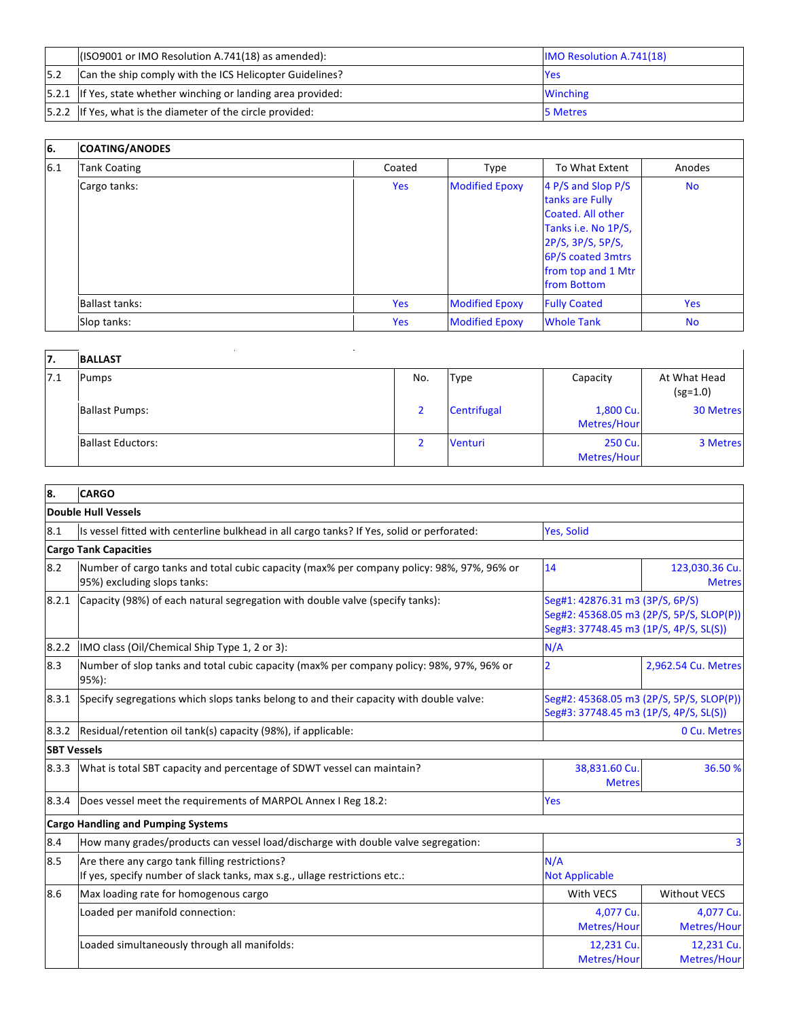|     | $($ ISO9001 or IMO Resolution A.741(18) as amended):            | <b>IMO Resolution A.741(18)</b> |
|-----|-----------------------------------------------------------------|---------------------------------|
| 5.2 | Can the ship comply with the ICS Helicopter Guidelines?         | <b>Yes</b>                      |
|     | [5.2.1 If Yes, state whether winching or landing area provided: | <b>Winching</b>                 |
|     | [5.2.2 If Yes, what is the diameter of the circle provided:     | 5 Metres                        |

| 6.  | <b>COATING/ANODES</b> |            |                       |                                                                                                                                                                  |            |
|-----|-----------------------|------------|-----------------------|------------------------------------------------------------------------------------------------------------------------------------------------------------------|------------|
| 6.1 | <b>Tank Coating</b>   | Coated     | Type                  | To What Extent                                                                                                                                                   | Anodes     |
|     | Cargo tanks:          | <b>Yes</b> | <b>Modified Epoxy</b> | 4 P/S and Slop P/S<br>tanks are Fully<br>Coated. All other<br>Tanks i.e. No 1P/S,<br>2P/S, 3P/S, 5P/S,<br>6P/S coated 3mtrs<br>from top and 1 Mtr<br>from Bottom | <b>No</b>  |
|     | Ballast tanks:        | Yes        | <b>Modified Epoxy</b> | <b>Fully Coated</b>                                                                                                                                              | <b>Yes</b> |
|     | Slop tanks:           | Yes        | <b>Modified Epoxy</b> | <b>Whole Tank</b>                                                                                                                                                | <b>No</b>  |

| 17. | <b>BALLAST</b>           |     |             |                          |                            |
|-----|--------------------------|-----|-------------|--------------------------|----------------------------|
| 7.1 | Pumps                    | No. | <b>Type</b> | Capacity                 | At What Head<br>$(sg=1.0)$ |
|     | <b>Ballast Pumps:</b>    |     | Centrifugal | 1,800 Cu.<br>Metres/Hour | <b>30 Metres</b>           |
|     | <b>Ballast Eductors:</b> |     | Venturi     | 250 Cu.<br>Metres/Hour   | 3 Metres                   |

| 8.                 | <b>CARGO</b>                                                                                                                 |                                                                                    |                                          |
|--------------------|------------------------------------------------------------------------------------------------------------------------------|------------------------------------------------------------------------------------|------------------------------------------|
|                    | <b>Double Hull Vessels</b>                                                                                                   |                                                                                    |                                          |
| 8.1                | Is vessel fitted with centerline bulkhead in all cargo tanks? If Yes, solid or perforated:                                   | Yes, Solid                                                                         |                                          |
|                    | <b>Cargo Tank Capacities</b>                                                                                                 |                                                                                    |                                          |
| 8.2                | Number of cargo tanks and total cubic capacity (max% per company policy: 98%, 97%, 96% or<br>95%) excluding slops tanks:     | 14                                                                                 | 123,030.36 Cu.<br><b>Metres</b>          |
| 8.2.1              | Capacity (98%) of each natural segregation with double valve (specify tanks):                                                | Seg#1: 42876.31 m3 (3P/S, 6P/S)<br>Seg#3: 37748.45 m3 (1P/S, 4P/S, SL(S))          | Seg#2: 45368.05 m3 (2P/S, 5P/S, SLOP(P)) |
| 8.2.2              | IMO class (Oil/Chemical Ship Type 1, 2 or 3):                                                                                | N/A                                                                                |                                          |
| 8.3                | Number of slop tanks and total cubic capacity (max% per company policy: 98%, 97%, 96% or<br>95%):                            | $\overline{2}$<br>2,962.54 Cu. Metres                                              |                                          |
| 8.3.1              | Specify segregations which slops tanks belong to and their capacity with double valve:                                       | Seg#2: 45368.05 m3 (2P/S, 5P/S, SLOP(P))<br>Seg#3: 37748.45 m3 (1P/S, 4P/S, SL(S)) |                                          |
| 8.3.2              | Residual/retention oil tank(s) capacity (98%), if applicable:                                                                |                                                                                    | 0 Cu. Metres                             |
| <b>SBT Vessels</b> |                                                                                                                              |                                                                                    |                                          |
| 8.3.3              | What is total SBT capacity and percentage of SDWT vessel can maintain?                                                       | 38,831.60 Cu<br><b>Metres</b>                                                      | 36.50 %                                  |
| 8.3.4              | Does vessel meet the requirements of MARPOL Annex I Reg 18.2:                                                                | Yes                                                                                |                                          |
|                    | <b>Cargo Handling and Pumping Systems</b>                                                                                    |                                                                                    |                                          |
| 8.4                | How many grades/products can vessel load/discharge with double valve segregation:                                            |                                                                                    |                                          |
| 8.5                | Are there any cargo tank filling restrictions?<br>If yes, specify number of slack tanks, max s.g., ullage restrictions etc.: | N/A<br><b>Not Applicable</b>                                                       |                                          |
| 8.6                | Max loading rate for homogenous cargo                                                                                        | With VECS                                                                          | <b>Without VECS</b>                      |
|                    | Loaded per manifold connection:                                                                                              | 4,077 Cu.<br>Metres/Hour                                                           | 4,077 Cu.<br>Metres/Hour                 |
|                    | Loaded simultaneously through all manifolds:                                                                                 | 12,231 Cu.<br>Metres/Hour                                                          | 12,231 Cu.<br>Metres/Hour                |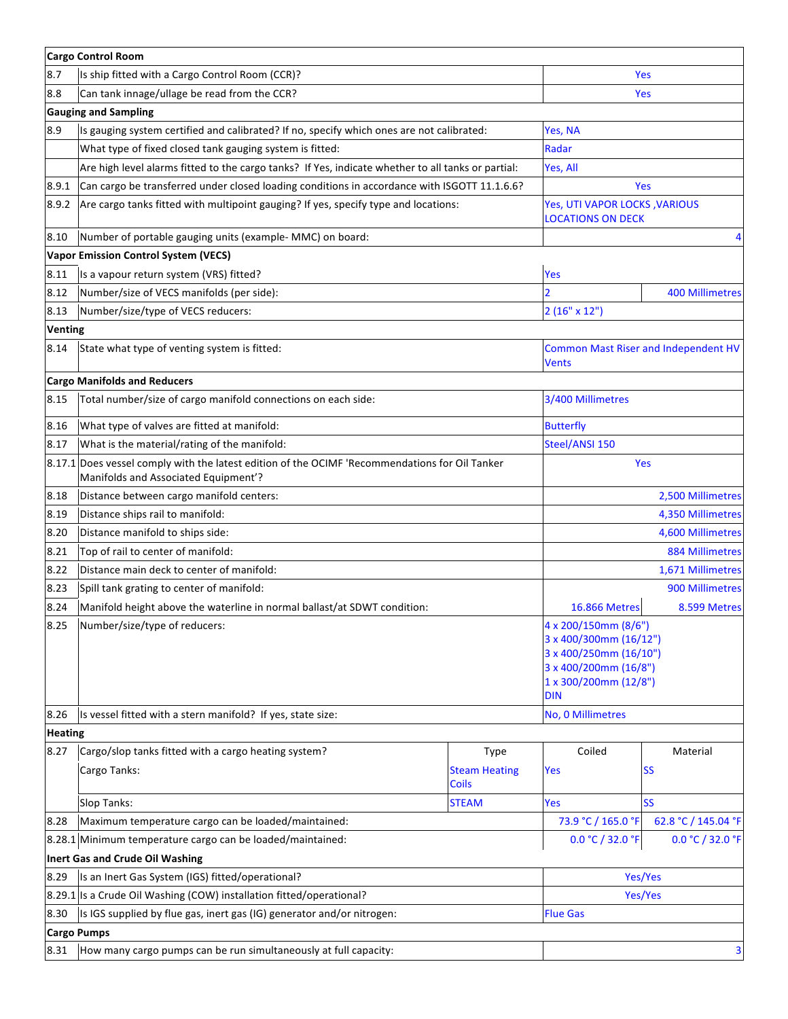|                                 | <b>Cargo Control Room</b>                                                                                                              |                                      |                                                                                                                                          |                                             |  |
|---------------------------------|----------------------------------------------------------------------------------------------------------------------------------------|--------------------------------------|------------------------------------------------------------------------------------------------------------------------------------------|---------------------------------------------|--|
| 8.7                             | Is ship fitted with a Cargo Control Room (CCR)?                                                                                        |                                      | Yes                                                                                                                                      |                                             |  |
| 8.8                             | Can tank innage/ullage be read from the CCR?                                                                                           | Yes                                  |                                                                                                                                          |                                             |  |
|                                 | <b>Gauging and Sampling</b>                                                                                                            |                                      |                                                                                                                                          |                                             |  |
| 8.9                             | Is gauging system certified and calibrated? If no, specify which ones are not calibrated:                                              |                                      | Yes, NA                                                                                                                                  |                                             |  |
|                                 | What type of fixed closed tank gauging system is fitted:                                                                               | Radar                                |                                                                                                                                          |                                             |  |
|                                 | Are high level alarms fitted to the cargo tanks? If Yes, indicate whether to all tanks or partial:                                     | Yes, All                             |                                                                                                                                          |                                             |  |
| 8.9.1                           | Can cargo be transferred under closed loading conditions in accordance with ISGOTT 11.1.6.6?                                           |                                      | Yes                                                                                                                                      |                                             |  |
| 8.9.2                           | Are cargo tanks fitted with multipoint gauging? If yes, specify type and locations:                                                    |                                      | <b>Yes, UTI VAPOR LOCKS, VARIOUS</b><br><b>LOCATIONS ON DECK</b>                                                                         |                                             |  |
| 8.10                            | Number of portable gauging units (example- MMC) on board:                                                                              |                                      |                                                                                                                                          | 4                                           |  |
|                                 | <b>Vapor Emission Control System (VECS)</b>                                                                                            |                                      |                                                                                                                                          |                                             |  |
| 8.11                            | Is a vapour return system (VRS) fitted?                                                                                                |                                      | Yes                                                                                                                                      |                                             |  |
| 8.12                            | Number/size of VECS manifolds (per side):                                                                                              |                                      |                                                                                                                                          | <b>400 Millimetres</b>                      |  |
| 8.13                            | Number/size/type of VECS reducers:                                                                                                     |                                      | $2(16" \times 12")$                                                                                                                      |                                             |  |
| <b>Venting</b>                  |                                                                                                                                        |                                      |                                                                                                                                          |                                             |  |
| 8.14                            | State what type of venting system is fitted:                                                                                           |                                      | Vents                                                                                                                                    | <b>Common Mast Riser and Independent HV</b> |  |
|                                 | <b>Cargo Manifolds and Reducers</b>                                                                                                    |                                      |                                                                                                                                          |                                             |  |
| 8.15                            | Total number/size of cargo manifold connections on each side:                                                                          |                                      | 3/400 Millimetres                                                                                                                        |                                             |  |
| 8.16                            | What type of valves are fitted at manifold:                                                                                            |                                      | <b>Butterfly</b>                                                                                                                         |                                             |  |
| 8.17                            | What is the material/rating of the manifold:                                                                                           |                                      | Steel/ANSI 150                                                                                                                           |                                             |  |
|                                 | 8.17.1 Does vessel comply with the latest edition of the OCIMF 'Recommendations for Oil Tanker<br>Manifolds and Associated Equipment'? | Yes                                  |                                                                                                                                          |                                             |  |
| 8.18                            | Distance between cargo manifold centers:                                                                                               |                                      | 2,500 Millimetres                                                                                                                        |                                             |  |
| 8.19                            | Distance ships rail to manifold:                                                                                                       | 4,350 Millimetres                    |                                                                                                                                          |                                             |  |
| 8.20                            | Distance manifold to ships side:                                                                                                       | 4,600 Millimetres                    |                                                                                                                                          |                                             |  |
| 8.21                            | Top of rail to center of manifold:                                                                                                     |                                      | <b>884 Millimetres</b>                                                                                                                   |                                             |  |
| 8.22                            | Distance main deck to center of manifold:                                                                                              |                                      | 1,671 Millimetres                                                                                                                        |                                             |  |
| 8.23                            | Spill tank grating to center of manifold:                                                                                              |                                      | 900 Millimetres                                                                                                                          |                                             |  |
| 8.24                            | Manifold height above the waterline in normal ballast/at SDWT condition:                                                               |                                      | <b>16.866 Metres</b>                                                                                                                     | 8.599 Metres                                |  |
| 8.25                            | Number/size/type of reducers:                                                                                                          |                                      | 4 x 200/150mm (8/6")<br>3 x 400/300mm (16/12")<br>3 x 400/250mm (16/10")<br>3 x 400/200mm (16/8")<br>1 x 300/200mm (12/8")<br><b>DIN</b> |                                             |  |
| 8.26                            | Is vessel fitted with a stern manifold? If yes, state size:                                                                            |                                      | No, 0 Millimetres                                                                                                                        |                                             |  |
| <b>Heating</b>                  |                                                                                                                                        |                                      |                                                                                                                                          |                                             |  |
| 8.27                            | Cargo/slop tanks fitted with a cargo heating system?                                                                                   | Type                                 | Coiled                                                                                                                                   | Material                                    |  |
|                                 | Cargo Tanks:                                                                                                                           | <b>Steam Heating</b><br><b>Coils</b> | <b>Yes</b>                                                                                                                               | <b>SS</b>                                   |  |
|                                 | Slop Tanks:                                                                                                                            | <b>STEAM</b>                         | Yes                                                                                                                                      | <b>SS</b>                                   |  |
| 8.28                            | Maximum temperature cargo can be loaded/maintained:                                                                                    |                                      | 73.9 °C / 165.0 °F                                                                                                                       | 62.8 °C / 145.04 °F                         |  |
|                                 | 8.28.1 Minimum temperature cargo can be loaded/maintained:                                                                             |                                      | 0.0 °C / 32.0 °F                                                                                                                         | 0.0 °C / 32.0 °F                            |  |
| Inert Gas and Crude Oil Washing |                                                                                                                                        |                                      |                                                                                                                                          |                                             |  |
| 8.29                            | Is an Inert Gas System (IGS) fitted/operational?                                                                                       | Yes/Yes                              |                                                                                                                                          |                                             |  |
| 8.29.1                          | Is a Crude Oil Washing (COW) installation fitted/operational?                                                                          |                                      | Yes/Yes                                                                                                                                  |                                             |  |
| 8.30                            | Is IGS supplied by flue gas, inert gas (IG) generator and/or nitrogen:                                                                 | <b>Flue Gas</b>                      |                                                                                                                                          |                                             |  |
|                                 | <b>Cargo Pumps</b>                                                                                                                     |                                      |                                                                                                                                          |                                             |  |
| 8.31                            | How many cargo pumps can be run simultaneously at full capacity:<br>3                                                                  |                                      |                                                                                                                                          |                                             |  |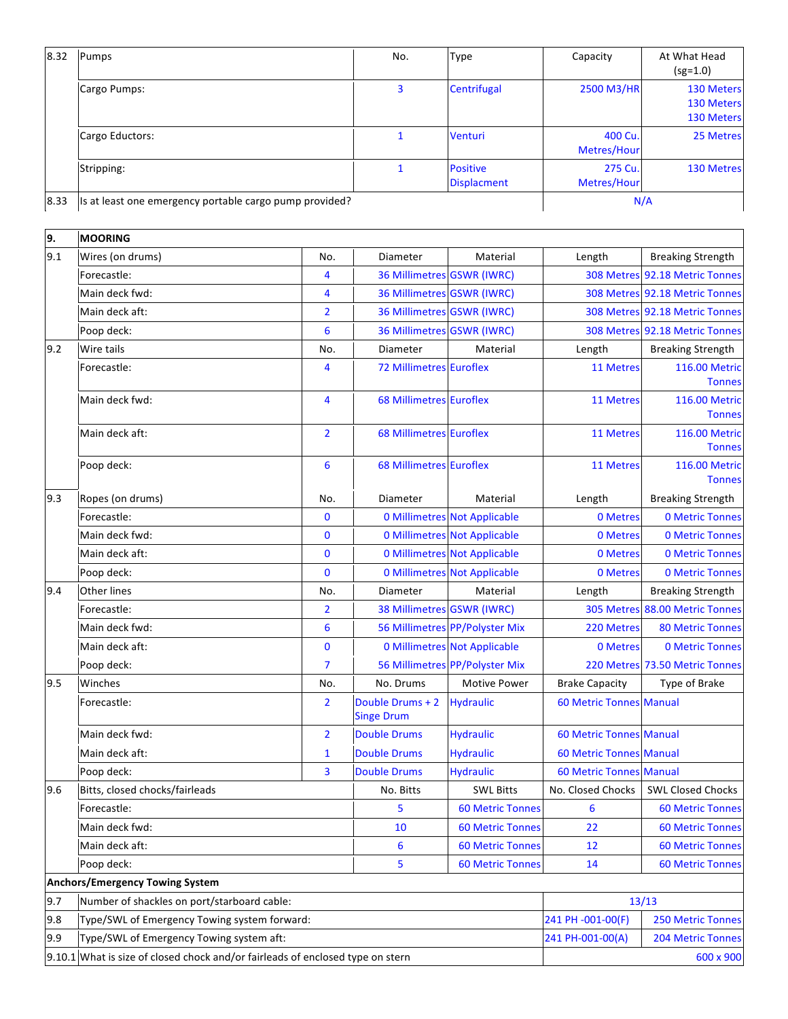| 8.32 | Pumps                                                   | No. | <b>Type</b>                           | Capacity               | At What Head<br>$(sg=1.0)$             |
|------|---------------------------------------------------------|-----|---------------------------------------|------------------------|----------------------------------------|
|      | Cargo Pumps:                                            | 3   | Centrifugal                           | 2500 M3/HR             | 130 Meters<br>130 Meters<br>130 Meters |
|      | Cargo Eductors:                                         |     | Venturi                               | 400 Cu.<br>Metres/Hour | 25 Metres                              |
|      | Stripping:                                              |     | <b>Positive</b><br><b>Displacment</b> | 275 Cu.<br>Metres/Hour | 130 Metres                             |
| 8.33 | Is at least one emergency portable cargo pump provided? |     |                                       |                        | N/A                                    |

| 9.                                     | <b>MOORING</b>                                                                              |                |                                       |                                     |                                |                                |
|----------------------------------------|---------------------------------------------------------------------------------------------|----------------|---------------------------------------|-------------------------------------|--------------------------------|--------------------------------|
| 9.1                                    | Wires (on drums)                                                                            | No.            | Diameter                              | Material                            | Length                         | <b>Breaking Strength</b>       |
|                                        | Forecastle:                                                                                 | 4              | 36 Millimetres GSWR (IWRC)            |                                     |                                | 308 Metres 92.18 Metric Tonnes |
|                                        | Main deck fwd:                                                                              | 4              | 36 Millimetres GSWR (IWRC)            |                                     |                                | 308 Metres 92.18 Metric Tonnes |
|                                        | Main deck aft:                                                                              | $\overline{2}$ | 36 Millimetres GSWR (IWRC)            |                                     |                                | 308 Metres 92.18 Metric Tonnes |
|                                        | Poop deck:                                                                                  | 6              | 36 Millimetres GSWR (IWRC)            |                                     |                                | 308 Metres 92.18 Metric Tonnes |
| 9.2                                    | Wire tails                                                                                  | No.            | Diameter                              | Material                            | Length                         | <b>Breaking Strength</b>       |
|                                        | Forecastle:                                                                                 | 4              | <b>72 Millimetres Euroflex</b>        |                                     | 11 Metres                      | 116.00 Metric<br><b>Tonnes</b> |
|                                        | Main deck fwd:                                                                              | 4              | <b>68 Millimetres Euroflex</b>        |                                     | 11 Metres                      | 116.00 Metric<br><b>Tonnes</b> |
|                                        | Main deck aft:                                                                              | $\overline{2}$ | <b>68 Millimetres Euroflex</b>        |                                     | 11 Metres                      | 116.00 Metric<br><b>Tonnes</b> |
|                                        | Poop deck:                                                                                  | 6              | <b>68 Millimetres Euroflex</b>        |                                     | 11 Metres                      | 116.00 Metric<br><b>Tonnes</b> |
| 9.3                                    | Ropes (on drums)                                                                            | No.            | Diameter                              | Material                            | Length                         | <b>Breaking Strength</b>       |
|                                        | Forecastle:                                                                                 | $\mathbf{0}$   |                                       | <b>0 Millimetres Not Applicable</b> | 0 Metres                       | <b>0 Metric Tonnes</b>         |
|                                        | Main deck fwd:                                                                              | $\bf{0}$       |                                       | <b>0 Millimetres Not Applicable</b> | 0 Metres                       | <b>0 Metric Tonnes</b>         |
|                                        | Main deck aft:                                                                              | $\mathbf{0}$   |                                       | <b>0 Millimetres Not Applicable</b> | 0 Metres                       | <b>0 Metric Tonnes</b>         |
|                                        | Poop deck:                                                                                  | $\mathbf 0$    |                                       | <b>0 Millimetres Not Applicable</b> | 0 Metres                       | <b>0 Metric Tonnes</b>         |
| 9.4                                    | Other lines                                                                                 | No.            | Diameter                              | Material                            | Length                         | <b>Breaking Strength</b>       |
|                                        | Forecastle:                                                                                 | $\overline{2}$ | 38 Millimetres GSWR (IWRC)            |                                     |                                | 305 Metres 88.00 Metric Tonnes |
|                                        | Main deck fwd:                                                                              | 6              |                                       | 56 Millimetres PP/Polyster Mix      | 220 Metres                     | <b>80 Metric Tonnes</b>        |
|                                        | Main deck aft:                                                                              | $\bf{0}$       |                                       | <b>0 Millimetres Not Applicable</b> | 0 Metres                       | <b>0 Metric Tonnes</b>         |
|                                        | Poop deck:                                                                                  | $\overline{7}$ |                                       | 56 Millimetres PP/Polyster Mix      |                                | 220 Metres 73.50 Metric Tonnes |
| 9.5                                    | Winches                                                                                     | No.            | No. Drums                             | Motive Power                        | <b>Brake Capacity</b>          | Type of Brake                  |
|                                        | Forecastle:                                                                                 | $\overline{2}$ | Double Drums + 2<br><b>Singe Drum</b> | <b>Hydraulic</b>                    | <b>60 Metric Tonnes Manual</b> |                                |
|                                        | Main deck fwd:                                                                              | $\overline{2}$ | <b>Double Drums</b>                   | <b>Hydraulic</b>                    | <b>60 Metric Tonnes Manual</b> |                                |
|                                        | Main deck aft:                                                                              | $\mathbf{1}$   | <b>Double Drums</b>                   | <b>Hydraulic</b>                    | <b>60 Metric Tonnes Manual</b> |                                |
|                                        | Poop deck:                                                                                  | 3              | <b>Double Drums</b>                   | <b>Hydraulic</b>                    | <b>60 Metric Tonnes Manual</b> |                                |
| 9.6                                    | Bitts, closed chocks/fairleads                                                              |                | No. Bitts                             | <b>SWL Bitts</b>                    | No. Closed Chocks              | <b>SWL Closed Chocks</b>       |
|                                        | Forecastle:                                                                                 |                | 5                                     | <b>60 Metric Tonnes</b>             | 6                              | <b>60 Metric Tonnes</b>        |
|                                        | Main deck fwd:                                                                              |                | 10                                    | <b>60 Metric Tonnes</b>             | 22                             | <b>60 Metric Tonnes</b>        |
|                                        | Main deck aft:                                                                              |                | 6                                     | <b>60 Metric Tonnes</b>             | 12                             | <b>60 Metric Tonnes</b>        |
|                                        | Poop deck:                                                                                  |                | 5                                     | <b>60 Metric Tonnes</b>             | 14                             | <b>60 Metric Tonnes</b>        |
| <b>Anchors/Emergency Towing System</b> |                                                                                             |                |                                       |                                     |                                |                                |
| 9.7                                    | Number of shackles on port/starboard cable:                                                 |                |                                       |                                     | 13/13                          |                                |
| 9.8                                    | Type/SWL of Emergency Towing system forward:                                                |                |                                       |                                     | 241 PH -001-00(F)              | <b>250 Metric Tonnes</b>       |
| 9.9                                    | Type/SWL of Emergency Towing system aft:                                                    |                |                                       |                                     | 241 PH-001-00(A)               | 204 Metric Tonnes              |
|                                        | 9.10.1 What is size of closed chock and/or fairleads of enclosed type on stern<br>600 x 900 |                |                                       |                                     |                                |                                |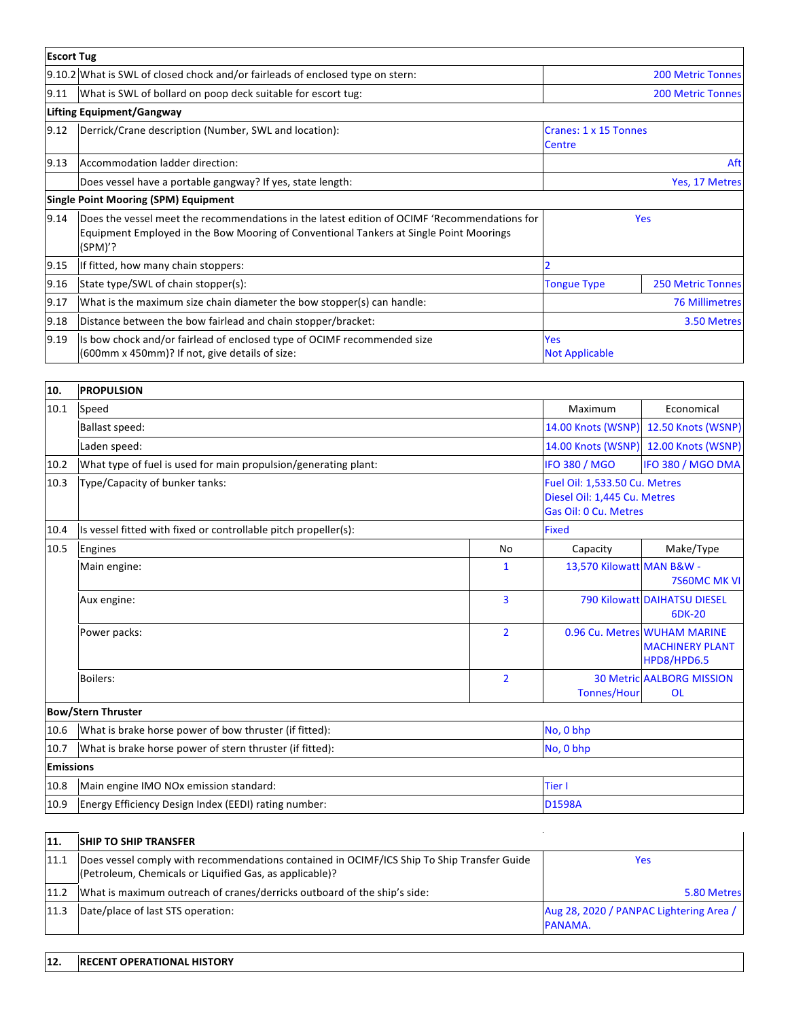| <b>Escort Tug</b> |                                                                                                                                                                                                   |                                 |                          |
|-------------------|---------------------------------------------------------------------------------------------------------------------------------------------------------------------------------------------------|---------------------------------|--------------------------|
|                   | 9.10.2 What is SWL of closed chock and/or fairleads of enclosed type on stern:                                                                                                                    |                                 | <b>200 Metric Tonnes</b> |
| 9.11              | What is SWL of bollard on poop deck suitable for escort tug:                                                                                                                                      |                                 | <b>200 Metric Tonnes</b> |
|                   | <b>Lifting Equipment/Gangway</b>                                                                                                                                                                  |                                 |                          |
| 9.12              | Derrick/Crane description (Number, SWL and location):                                                                                                                                             | Cranes: 1 x 15 Tonnes<br>Centre |                          |
| 9.13              | Accommodation ladder direction:                                                                                                                                                                   |                                 | Aftl                     |
|                   | Does vessel have a portable gangway? If yes, state length:                                                                                                                                        |                                 | Yes, 17 Metres           |
|                   | <b>Single Point Mooring (SPM) Equipment</b>                                                                                                                                                       |                                 |                          |
| 9.14              | Does the vessel meet the recommendations in the latest edition of OCIMF 'Recommendations for<br>Equipment Employed in the Bow Mooring of Conventional Tankers at Single Point Moorings<br>(SPM)'? |                                 | <b>Yes</b>               |
| 9.15              | If fitted, how many chain stoppers:                                                                                                                                                               |                                 |                          |
| 9.16              | State type/SWL of chain stopper(s):                                                                                                                                                               | <b>Tongue Type</b>              | <b>250 Metric Tonnes</b> |
| 9.17              | What is the maximum size chain diameter the bow stopper(s) can handle:                                                                                                                            |                                 | <b>76 Millimetres</b>    |
| 9.18              | Distance between the bow fairlead and chain stopper/bracket:                                                                                                                                      |                                 | 3.50 Metres              |
| 9.19              | Is bow chock and/or fairlead of enclosed type of OCIMF recommended size<br>(600mm x 450mm)? If not, give details of size:                                                                         | Yes<br><b>Not Applicable</b>    |                          |

| 10.              | <b>PROPULSION</b>                                               |                    |                                                                                        |                                                                       |  |
|------------------|-----------------------------------------------------------------|--------------------|----------------------------------------------------------------------------------------|-----------------------------------------------------------------------|--|
| 10.1             | Speed                                                           | Maximum            | Economical                                                                             |                                                                       |  |
|                  | <b>Ballast speed:</b>                                           | 14.00 Knots (WSNP) | 12.50 Knots (WSNP)                                                                     |                                                                       |  |
|                  | Laden speed:                                                    | 14.00 Knots (WSNP) | 12.00 Knots (WSNP)                                                                     |                                                                       |  |
| 10.2             | What type of fuel is used for main propulsion/generating plant: |                    | <b>IFO 380 / MGO</b>                                                                   | IFO 380 / MGO DMA                                                     |  |
| 10.3             | Type/Capacity of bunker tanks:                                  |                    | Fuel Oil: 1,533.50 Cu. Metres<br>Diesel Oil: 1,445 Cu. Metres<br>Gas Oil: 0 Cu. Metres |                                                                       |  |
| 10.4             | Is vessel fitted with fixed or controllable pitch propeller(s): |                    | <b>Fixed</b>                                                                           |                                                                       |  |
| 10.5             | Engines                                                         | <b>No</b>          | Capacity                                                                               | Make/Type                                                             |  |
|                  | Main engine:                                                    | $\mathbf{1}$       | 13,570 Kilowatt MAN B&W -                                                              | 7S60MC MK VI                                                          |  |
|                  | Aux engine:                                                     | $\overline{3}$     |                                                                                        | <b>790 Kilowatt DAIHATSU DIESEL</b><br>6DK-20                         |  |
|                  | Power packs:                                                    | $\overline{2}$     |                                                                                        | 0.96 Cu. Metres WUHAM MARINE<br><b>MACHINERY PLANT</b><br>HPD8/HPD6.5 |  |
|                  | <b>Boilers:</b>                                                 | $\overline{2}$     | <b>Tonnes/Hour</b>                                                                     | <b>30 Metric AALBORG MISSION</b><br><b>OL</b>                         |  |
|                  | <b>Bow/Stern Thruster</b>                                       |                    |                                                                                        |                                                                       |  |
| 10.6             | What is brake horse power of bow thruster (if fitted):          | No, 0 bhp          |                                                                                        |                                                                       |  |
| 10.7             | What is brake horse power of stern thruster (if fitted):        | No, 0 bhp          |                                                                                        |                                                                       |  |
| <b>Emissions</b> |                                                                 |                    |                                                                                        |                                                                       |  |
| 10.8             | Main engine IMO NOx emission standard:                          | Tier I             |                                                                                        |                                                                       |  |
| 10.9             | Energy Efficiency Design Index (EEDI) rating number:            | <b>D1598A</b>      |                                                                                        |                                                                       |  |

| 11.  | <b>SHIP TO SHIP TRANSFER</b>                                                                                                                          |                                                    |
|------|-------------------------------------------------------------------------------------------------------------------------------------------------------|----------------------------------------------------|
| 11.1 | Does vessel comply with recommendations contained in OCIMF/ICS Ship To Ship Transfer Guide<br>(Petroleum, Chemicals or Liquified Gas, as applicable)? | Yes                                                |
| 11.2 | What is maximum outreach of cranes/derricks outboard of the ship's side:                                                                              | 5.80 Metres                                        |
| 11.3 | Date/place of last STS operation:                                                                                                                     | Aug 28, 2020 / PANPAC Lightering Area /<br>PANAMA. |

## **12. RECENT OPERATIONAL HISTORY**